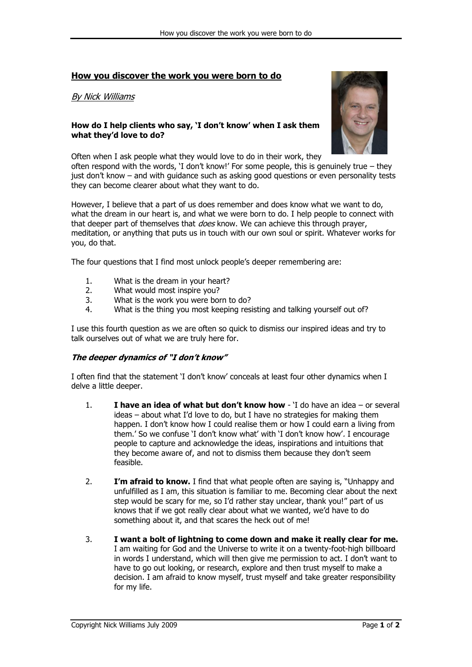# **How you discover the work you were born to do**

## By Nick Williams

### **How do I help clients who say, "I don"t know" when I ask them what they"d love to do?**



Often when I ask people what they would love to do in their work, they often respond with the words, "I don"t know!" For some people, this is genuinely true – they just don"t know – and with guidance such as asking good questions or even personality tests they can become clearer about what they want to do.

However, I believe that a part of us does remember and does know what we want to do, what the dream in our heart is, and what we were born to do. I help people to connect with that deeper part of themselves that *does* know. We can achieve this through prayer, meditation, or anything that puts us in touch with our own soul or spirit. Whatever works for you, do that.

The four questions that I find most unlock people"s deeper remembering are:

- 1. What is the dream in your heart?
- 2. What would most inspire you?
- 3. What is the work you were born to do?
- 4. What is the thing you most keeping resisting and talking yourself out of?

I use this fourth question as we are often so quick to dismiss our inspired ideas and try to talk ourselves out of what we are truly here for.

#### **The deeper dynamics of "I don"t know"**

I often find that the statement 'I don't know' conceals at least four other dynamics when I delve a little deeper.

- 1. **I have an idea of what but don"t know how** "I do have an idea or several ideas – about what I"d love to do, but I have no strategies for making them happen. I don"t know how I could realise them or how I could earn a living from them.' So we confuse 'I don't know what' with 'I don't know how'. I encourage people to capture and acknowledge the ideas, inspirations and intuitions that they become aware of, and not to dismiss them because they don"t seem feasible.
- 2. **I"m afraid to know.** I find that what people often are saying is, "Unhappy and unfulfilled as I am, this situation is familiar to me. Becoming clear about the next step would be scary for me, so I"d rather stay unclear, thank you!" part of us knows that if we got really clear about what we wanted, we"d have to do something about it, and that scares the heck out of me!
- 3. **I want a bolt of lightning to come down and make it really clear for me.** I am waiting for God and the Universe to write it on a twenty-foot-high billboard in words I understand, which will then give me permission to act. I don"t want to have to go out looking, or research, explore and then trust myself to make a decision. I am afraid to know myself, trust myself and take greater responsibility for my life.